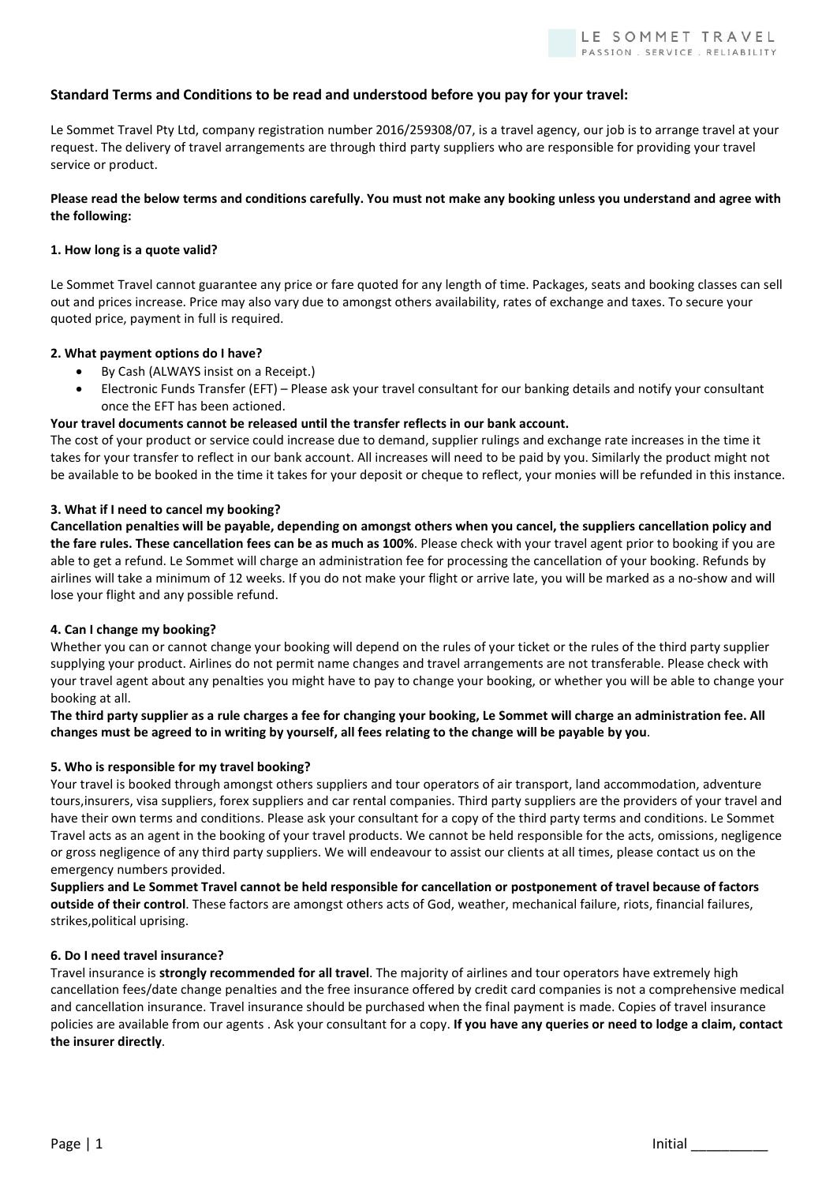# Standard Terms and Conditions to be read and understood before you pay for your travel:

Le Sommet Travel Pty Ltd, company registration number 2016/259308/07, is a travel agency, our job is to arrange travel at your request. The delivery of travel arrangements are through third party suppliers who are responsible for providing your travel service or product.

## Please read the below terms and conditions carefully. You must not make any booking unless you understand and agree with the following:

## 1. How long is a quote valid?

Le Sommet Travel cannot guarantee any price or fare quoted for any length of time. Packages, seats and booking classes can sell out and prices increase. Price may also vary due to amongst others availability, rates of exchange and taxes. To secure your quoted price, payment in full is required.

## 2. What payment options do I have?

- By Cash (ALWAYS insist on a Receipt.)
- Electronic Funds Transfer (EFT) Please ask your travel consultant for our banking details and notify your consultant once the EFT has been actioned.

## Your travel documents cannot be released until the transfer reflects in our bank account.

The cost of your product or service could increase due to demand, supplier rulings and exchange rate increases in the time it takes for your transfer to reflect in our bank account. All increases will need to be paid by you. Similarly the product might not be available to be booked in the time it takes for your deposit or cheque to reflect, your monies will be refunded in this instance.

## 3. What if I need to cancel my booking?

Cancellation penalties will be payable, depending on amongst others when you cancel, the suppliers cancellation policy and the fare rules. These cancellation fees can be as much as 100%. Please check with your travel agent prior to booking if you are able to get a refund. Le Sommet will charge an administration fee for processing the cancellation of your booking. Refunds by airlines will take a minimum of 12 weeks. If you do not make your flight or arrive late, you will be marked as a no-show and will lose your flight and any possible refund.

#### 4. Can I change my booking?

Whether you can or cannot change your booking will depend on the rules of your ticket or the rules of the third party supplier supplying your product. Airlines do not permit name changes and travel arrangements are not transferable. Please check with your travel agent about any penalties you might have to pay to change your booking, or whether you will be able to change your booking at all.

## The third party supplier as a rule charges a fee for changing your booking, Le Sommet will charge an administration fee. All changes must be agreed to in writing by yourself, all fees relating to the change will be payable by you.

#### 5. Who is responsible for my travel booking?

Your travel is booked through amongst others suppliers and tour operators of air transport, land accommodation, adventure tours,insurers, visa suppliers, forex suppliers and car rental companies. Third party suppliers are the providers of your travel and have their own terms and conditions. Please ask your consultant for a copy of the third party terms and conditions. Le Sommet Travel acts as an agent in the booking of your travel products. We cannot be held responsible for the acts, omissions, negligence or gross negligence of any third party suppliers. We will endeavour to assist our clients at all times, please contact us on the emergency numbers provided.

Suppliers and Le Sommet Travel cannot be held responsible for cancellation or postponement of travel because of factors outside of their control. These factors are amongst others acts of God, weather, mechanical failure, riots, financial failures, strikes,political uprising.

#### 6. Do I need travel insurance?

Travel insurance is strongly recommended for all travel. The majority of airlines and tour operators have extremely high cancellation fees/date change penalties and the free insurance offered by credit card companies is not a comprehensive medical and cancellation insurance. Travel insurance should be purchased when the final payment is made. Copies of travel insurance policies are available from our agents . Ask your consultant for a copy. If you have any queries or need to lodge a claim, contact the insurer directly.